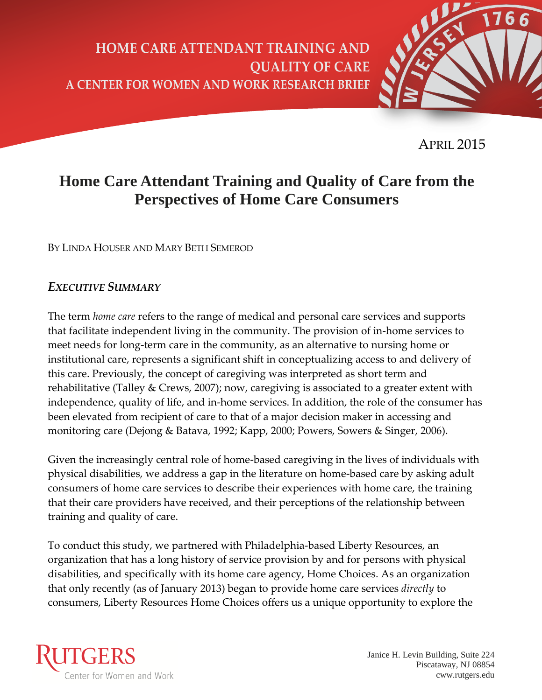**HOME CARE ATTENDANT TRAINING AND QUALITY OF CARE A CENTER FOR WOMEN AND WORK RESEARCH BRIEF**



APRIL 2015

# **Home Care Attendant Training and Quality of Care from the Perspectives of Home Care Consumers**

BY LINDA HOUSER AND MARY BETH SEMEROD

# *EXECUTIVE SUMMARY*

The term *home care* refers to the range of medical and personal care services and supports that facilitate independent living in the community. The provision of in-home services to meet needs for long-term care in the community, as an alternative to nursing home or institutional care, represents a significant shift in conceptualizing access to and delivery of this care. Previously, the concept of caregiving was interpreted as short term and rehabilitative (Talley & Crews, 2007); now, caregiving is associated to a greater extent with independence, quality of life, and in-home services. In addition, the role of the consumer has been elevated from recipient of care to that of a major decision maker in accessing and monitoring care (Dejong & Batava, 1992; Kapp, 2000; Powers, Sowers & Singer, 2006).

Given the increasingly central role of home-based caregiving in the lives of individuals with physical disabilities, we address a gap in the literature on home-based care by asking adult consumers of home care services to describe their experiences with home care, the training that their care providers have received, and their perceptions of the relationship between training and quality of care.

To conduct this study, we partnered with Philadelphia-based Liberty Resources, an organization that has a long history of service provision by and for persons with physical disabilities, and specifically with its home care agency, Home Choices. As an organization that only recently (as of January 2013) began to provide home care services *directly* to consumers, Liberty Resources Home Choices offers us a unique opportunity to explore the



Janice H. Levin Building, Suite 224 Piscataway, NJ 08854 cww.rutgers.edu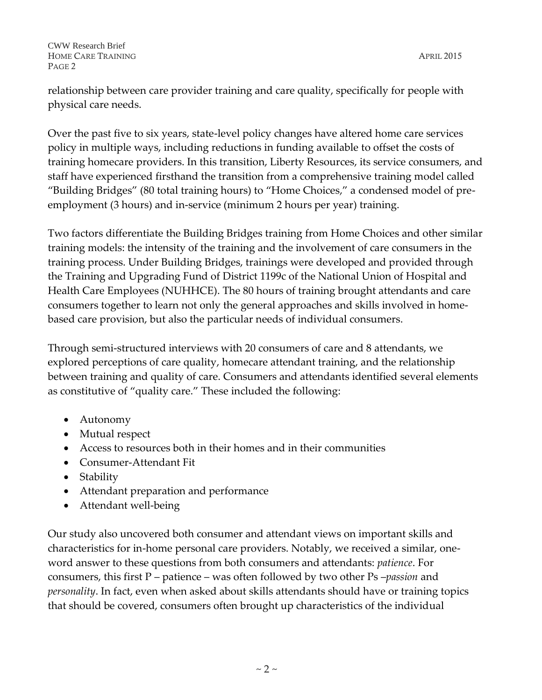relationship between care provider training and care quality, specifically for people with physical care needs.

Over the past five to six years, state-level policy changes have altered home care services policy in multiple ways, including reductions in funding available to offset the costs of training homecare providers. In this transition, Liberty Resources, its service consumers, and staff have experienced firsthand the transition from a comprehensive training model called "Building Bridges" (80 total training hours) to "Home Choices," a condensed model of preemployment (3 hours) and in-service (minimum 2 hours per year) training.

Two factors differentiate the Building Bridges training from Home Choices and other similar training models: the intensity of the training and the involvement of care consumers in the training process. Under Building Bridges, trainings were developed and provided through the Training and Upgrading Fund of District 1199c of the National Union of Hospital and Health Care Employees (NUHHCE). The 80 hours of training brought attendants and care consumers together to learn not only the general approaches and skills involved in homebased care provision, but also the particular needs of individual consumers.

Through semi-structured interviews with 20 consumers of care and 8 attendants, we explored perceptions of care quality, homecare attendant training, and the relationship between training and quality of care. Consumers and attendants identified several elements as constitutive of "quality care." These included the following:

- Autonomy
- Mutual respect
- Access to resources both in their homes and in their communities
- Consumer-Attendant Fit
- Stability
- Attendant preparation and performance
- Attendant well-being

Our study also uncovered both consumer and attendant views on important skills and characteristics for in-home personal care providers. Notably, we received a similar, oneword answer to these questions from both consumers and attendants: *patience*. For consumers, this first P – patience – was often followed by two other Ps –*passion* and *personality*. In fact, even when asked about skills attendants should have or training topics that should be covered, consumers often brought up characteristics of the individual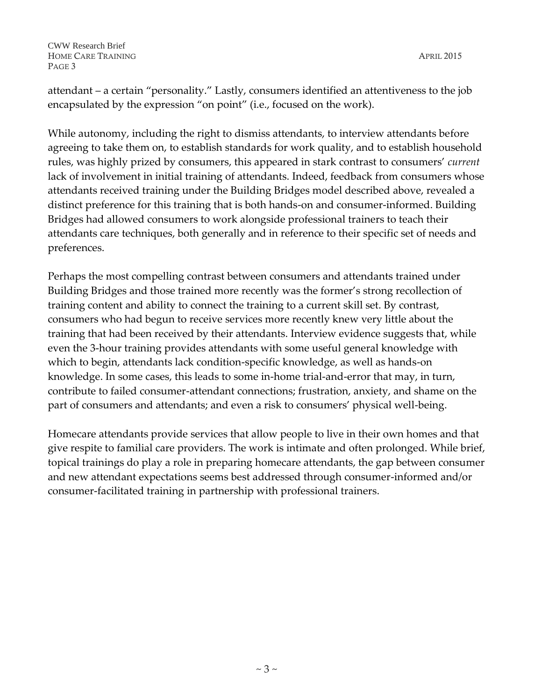attendant – a certain "personality." Lastly, consumers identified an attentiveness to the job encapsulated by the expression "on point" (i.e., focused on the work).

While autonomy, including the right to dismiss attendants, to interview attendants before agreeing to take them on, to establish standards for work quality, and to establish household rules, was highly prized by consumers, this appeared in stark contrast to consumers' *current* lack of involvement in initial training of attendants. Indeed, feedback from consumers whose attendants received training under the Building Bridges model described above, revealed a distinct preference for this training that is both hands-on and consumer-informed. Building Bridges had allowed consumers to work alongside professional trainers to teach their attendants care techniques, both generally and in reference to their specific set of needs and preferences.

Perhaps the most compelling contrast between consumers and attendants trained under Building Bridges and those trained more recently was the former's strong recollection of training content and ability to connect the training to a current skill set. By contrast, consumers who had begun to receive services more recently knew very little about the training that had been received by their attendants. Interview evidence suggests that, while even the 3-hour training provides attendants with some useful general knowledge with which to begin, attendants lack condition-specific knowledge, as well as hands-on knowledge. In some cases, this leads to some in-home trial-and-error that may, in turn, contribute to failed consumer-attendant connections; frustration, anxiety, and shame on the part of consumers and attendants; and even a risk to consumers' physical well-being.

Homecare attendants provide services that allow people to live in their own homes and that give respite to familial care providers. The work is intimate and often prolonged. While brief, topical trainings do play a role in preparing homecare attendants, the gap between consumer and new attendant expectations seems best addressed through consumer-informed and/or consumer-facilitated training in partnership with professional trainers.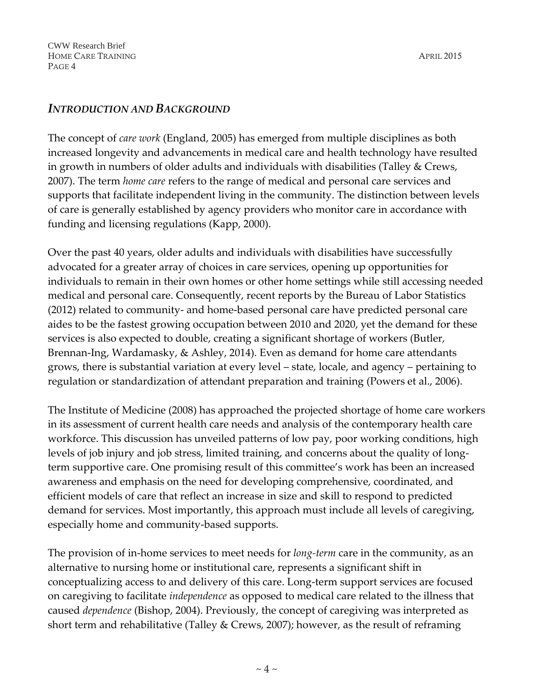## *INTRODUCTION AND BACKGROUND*

The concept of *care work* (England, 2005) has emerged from multiple disciplines as both increased longevity and advancements in medical care and health technology have resulted in growth in numbers of older adults and individuals with disabilities (Talley & Crews, 2007). The term *home care* refers to the range of medical and personal care services and supports that facilitate independent living in the community. The distinction between levels of care is generally established by agency providers who monitor care in accordance with funding and licensing regulations (Kapp, 2000).

Over the past 40 years, older adults and individuals with disabilities have successfully advocated for a greater array of choices in care services, opening up opportunities for individuals to remain in their own homes or other home settings while still accessing needed medical and personal care. Consequently, recent reports by the Bureau of Labor Statistics (2012) related to community- and home-based personal care have predicted personal care aides to be the fastest growing occupation between 2010 and 2020, yet the demand for these services is also expected to double, creating a significant shortage of workers (Butler, Brennan-Ing, Wardamasky, & Ashley, 2014). Even as demand for home care attendants grows, there is substantial variation at every level – state, locale, and agency – pertaining to regulation or standardization of attendant preparation and training (Powers et al., 2006).

The Institute of Medicine (2008) has approached the projected shortage of home care workers in its assessment of current health care needs and analysis of the contemporary health care workforce. This discussion has unveiled patterns of low pay, poor working conditions, high levels of job injury and job stress, limited training, and concerns about the quality of longterm supportive care. One promising result of this committee's work has been an increased awareness and emphasis on the need for developing comprehensive, coordinated, and efficient models of care that reflect an increase in size and skill to respond to predicted demand for services. Most importantly, this approach must include all levels of caregiving, especially home and community-based supports.

The provision of in-home services to meet needs for *long-term* care in the community, as an alternative to nursing home or institutional care, represents a significant shift in conceptualizing access to and delivery of this care. Long-term support services are focused on caregiving to facilitate *independence* as opposed to medical care related to the illness that caused *dependence* (Bishop, 2004). Previously, the concept of caregiving was interpreted as short term and rehabilitative (Talley & Crews, 2007); however, as the result of reframing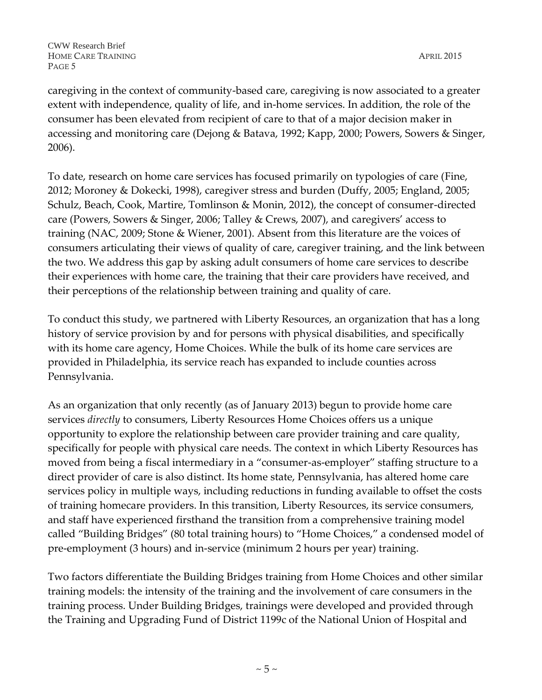caregiving in the context of community-based care, caregiving is now associated to a greater extent with independence, quality of life, and in-home services. In addition, the role of the consumer has been elevated from recipient of care to that of a major decision maker in accessing and monitoring care (Dejong & Batava, 1992; Kapp, 2000; Powers, Sowers & Singer, 2006).

To date, research on home care services has focused primarily on typologies of care (Fine, 2012; Moroney & Dokecki, 1998), caregiver stress and burden (Duffy, 2005; England, 2005; Schulz, Beach, Cook, Martire, Tomlinson & Monin, 2012), the concept of consumer-directed care (Powers, Sowers & Singer, 2006; Talley & Crews, 2007), and caregivers' access to training (NAC, 2009; Stone & Wiener, 2001). Absent from this literature are the voices of consumers articulating their views of quality of care, caregiver training, and the link between the two. We address this gap by asking adult consumers of home care services to describe their experiences with home care, the training that their care providers have received, and their perceptions of the relationship between training and quality of care.

To conduct this study, we partnered with Liberty Resources, an organization that has a long history of service provision by and for persons with physical disabilities, and specifically with its home care agency, Home Choices. While the bulk of its home care services are provided in Philadelphia, its service reach has expanded to include counties across Pennsylvania.

As an organization that only recently (as of January 2013) begun to provide home care services *directly* to consumers, Liberty Resources Home Choices offers us a unique opportunity to explore the relationship between care provider training and care quality, specifically for people with physical care needs. The context in which Liberty Resources has moved from being a fiscal intermediary in a "consumer-as-employer" staffing structure to a direct provider of care is also distinct. Its home state, Pennsylvania, has altered home care services policy in multiple ways, including reductions in funding available to offset the costs of training homecare providers. In this transition, Liberty Resources, its service consumers, and staff have experienced firsthand the transition from a comprehensive training model called "Building Bridges" (80 total training hours) to "Home Choices," a condensed model of pre-employment (3 hours) and in-service (minimum 2 hours per year) training.

Two factors differentiate the Building Bridges training from Home Choices and other similar training models: the intensity of the training and the involvement of care consumers in the training process. Under Building Bridges, trainings were developed and provided through the Training and Upgrading Fund of District 1199c of the National Union of Hospital and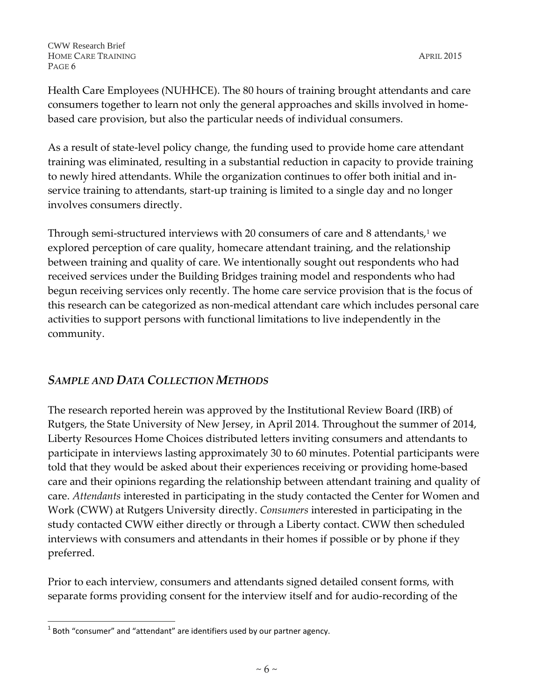Health Care Employees (NUHHCE). The 80 hours of training brought attendants and care consumers together to learn not only the general approaches and skills involved in homebased care provision, but also the particular needs of individual consumers.

As a result of state-level policy change, the funding used to provide home care attendant training was eliminated, resulting in a substantial reduction in capacity to provide training to newly hired attendants. While the organization continues to offer both initial and inservice training to attendants, start-up training is limited to a single day and no longer involves consumers directly.

Through semi-structured interviews with 20 consumers of care and 8 attendants, $1$  we explored perception of care quality, homecare attendant training, and the relationship between training and quality of care. We intentionally sought out respondents who had received services under the Building Bridges training model and respondents who had begun receiving services only recently. The home care service provision that is the focus of this research can be categorized as non-medical attendant care which includes personal care activities to support persons with functional limitations to live independently in the community.

# *SAMPLE AND DATA COLLECTION METHODS*

The research reported herein was approved by the Institutional Review Board (IRB) of Rutgers, the State University of New Jersey, in April 2014. Throughout the summer of 2014, Liberty Resources Home Choices distributed letters inviting consumers and attendants to participate in interviews lasting approximately 30 to 60 minutes. Potential participants were told that they would be asked about their experiences receiving or providing home-based care and their opinions regarding the relationship between attendant training and quality of care. *Attendants* interested in participating in the study contacted the Center for Women and Work (CWW) at Rutgers University directly. *Consumers* interested in participating in the study contacted CWW either directly or through a Liberty contact. CWW then scheduled interviews with consumers and attendants in their homes if possible or by phone if they preferred.

Prior to each interview, consumers and attendants signed detailed consent forms, with separate forms providing consent for the interview itself and for audio-recording of the

 $\overline{a}$ 

 $^{1}$  Both "consumer" and "attendant" are identifiers used by our partner agency.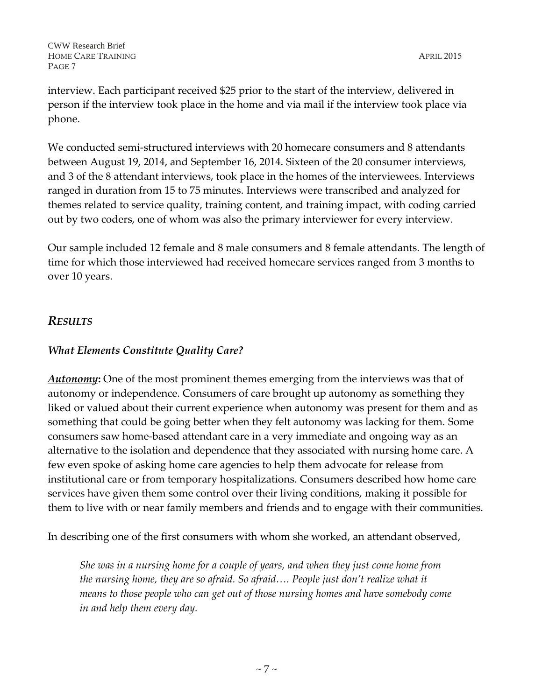interview. Each participant received \$25 prior to the start of the interview, delivered in person if the interview took place in the home and via mail if the interview took place via phone.

We conducted semi-structured interviews with 20 homecare consumers and 8 attendants between August 19, 2014, and September 16, 2014. Sixteen of the 20 consumer interviews, and 3 of the 8 attendant interviews, took place in the homes of the interviewees. Interviews ranged in duration from 15 to 75 minutes. Interviews were transcribed and analyzed for themes related to service quality, training content, and training impact, with coding carried out by two coders, one of whom was also the primary interviewer for every interview.

Our sample included 12 female and 8 male consumers and 8 female attendants. The length of time for which those interviewed had received homecare services ranged from 3 months to over 10 years.

# *RESULTS*

## *What Elements Constitute Quality Care?*

*Autonomy*: One of the most prominent themes emerging from the interviews was that of autonomy or independence. Consumers of care brought up autonomy as something they liked or valued about their current experience when autonomy was present for them and as something that could be going better when they felt autonomy was lacking for them. Some consumers saw home-based attendant care in a very immediate and ongoing way as an alternative to the isolation and dependence that they associated with nursing home care. A few even spoke of asking home care agencies to help them advocate for release from institutional care or from temporary hospitalizations. Consumers described how home care services have given them some control over their living conditions, making it possible for them to live with or near family members and friends and to engage with their communities.

In describing one of the first consumers with whom she worked, an attendant observed,

*She was in a nursing home for a couple of years, and when they just come home from the nursing home, they are so afraid. So afraid…. People just don't realize what it means to those people who can get out of those nursing homes and have somebody come in and help them every day.*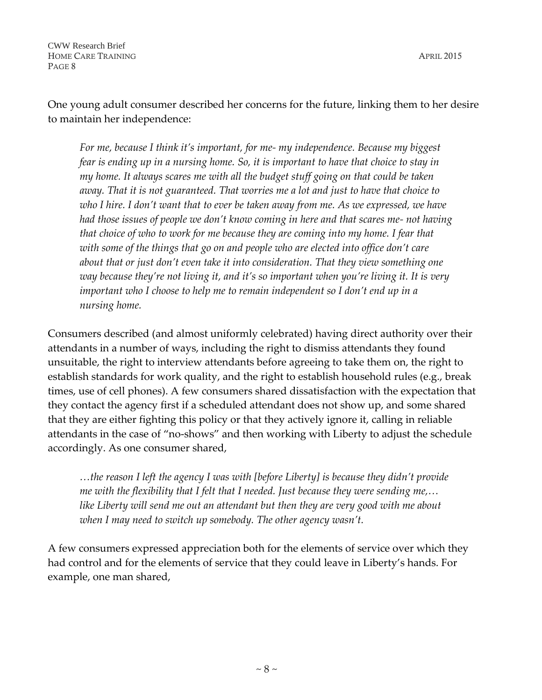One young adult consumer described her concerns for the future, linking them to her desire to maintain her independence:

*For me, because I think it's important, for me- my independence. Because my biggest fear is ending up in a nursing home. So, it is important to have that choice to stay in my home. It always scares me with all the budget stuff going on that could be taken away. That it is not guaranteed. That worries me a lot and just to have that choice to who I hire. I don't want that to ever be taken away from me. As we expressed, we have had those issues of people we don't know coming in here and that scares me- not having that choice of who to work for me because they are coming into my home. I fear that with some of the things that go on and people who are elected into office don't care about that or just don't even take it into consideration. That they view something one way because they're not living it, and it's so important when you're living it. It is very important who I choose to help me to remain independent so I don't end up in a nursing home.*

Consumers described (and almost uniformly celebrated) having direct authority over their attendants in a number of ways, including the right to dismiss attendants they found unsuitable, the right to interview attendants before agreeing to take them on, the right to establish standards for work quality, and the right to establish household rules (e.g., break times, use of cell phones). A few consumers shared dissatisfaction with the expectation that they contact the agency first if a scheduled attendant does not show up, and some shared that they are either fighting this policy or that they actively ignore it, calling in reliable attendants in the case of "no-shows" and then working with Liberty to adjust the schedule accordingly. As one consumer shared,

*…the reason I left the agency I was with [before Liberty] is because they didn't provide me with the flexibility that I felt that I needed. Just because they were sending me,… like Liberty will send me out an attendant but then they are very good with me about when I may need to switch up somebody. The other agency wasn't.*

A few consumers expressed appreciation both for the elements of service over which they had control and for the elements of service that they could leave in Liberty's hands. For example, one man shared,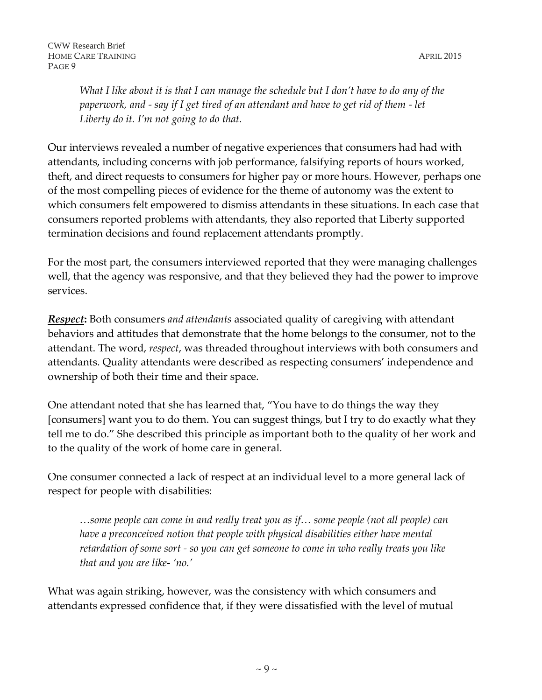*What I like about it is that I can manage the schedule but I don't have to do any of the paperwork, and - say if I get tired of an attendant and have to get rid of them - let Liberty do it. I'm not going to do that.*

Our interviews revealed a number of negative experiences that consumers had had with attendants, including concerns with job performance, falsifying reports of hours worked, theft, and direct requests to consumers for higher pay or more hours. However, perhaps one of the most compelling pieces of evidence for the theme of autonomy was the extent to which consumers felt empowered to dismiss attendants in these situations. In each case that consumers reported problems with attendants, they also reported that Liberty supported termination decisions and found replacement attendants promptly.

For the most part, the consumers interviewed reported that they were managing challenges well, that the agency was responsive, and that they believed they had the power to improve services.

*Respect***:** Both consumers *and attendants* associated quality of caregiving with attendant behaviors and attitudes that demonstrate that the home belongs to the consumer, not to the attendant. The word, *respect*, was threaded throughout interviews with both consumers and attendants. Quality attendants were described as respecting consumers' independence and ownership of both their time and their space.

One attendant noted that she has learned that, "You have to do things the way they [consumers] want you to do them. You can suggest things, but I try to do exactly what they tell me to do." She described this principle as important both to the quality of her work and to the quality of the work of home care in general.

One consumer connected a lack of respect at an individual level to a more general lack of respect for people with disabilities:

*…some people can come in and really treat you as if… some people (not all people) can have a preconceived notion that people with physical disabilities either have mental retardation of some sort - so you can get someone to come in who really treats you like that and you are like- 'no.'*

What was again striking, however, was the consistency with which consumers and attendants expressed confidence that, if they were dissatisfied with the level of mutual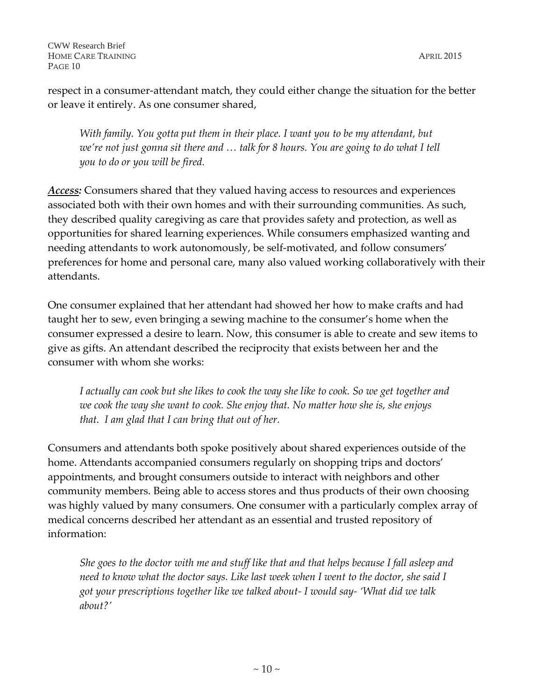respect in a consumer-attendant match, they could either change the situation for the better or leave it entirely. As one consumer shared,

*With family. You gotta put them in their place. I want you to be my attendant, but we're not just gonna sit there and … talk for 8 hours. You are going to do what I tell you to do or you will be fired.*

*Access:* Consumers shared that they valued having access to resources and experiences associated both with their own homes and with their surrounding communities. As such, they described quality caregiving as care that provides safety and protection, as well as opportunities for shared learning experiences. While consumers emphasized wanting and needing attendants to work autonomously, be self-motivated, and follow consumers' preferences for home and personal care, many also valued working collaboratively with their attendants.

One consumer explained that her attendant had showed her how to make crafts and had taught her to sew, even bringing a sewing machine to the consumer's home when the consumer expressed a desire to learn. Now, this consumer is able to create and sew items to give as gifts. An attendant described the reciprocity that exists between her and the consumer with whom she works:

*I actually can cook but she likes to cook the way she like to cook. So we get together and we cook the way she want to cook. She enjoy that. No matter how she is, she enjoys that. I am glad that I can bring that out of her.* 

Consumers and attendants both spoke positively about shared experiences outside of the home. Attendants accompanied consumers regularly on shopping trips and doctors' appointments, and brought consumers outside to interact with neighbors and other community members. Being able to access stores and thus products of their own choosing was highly valued by many consumers. One consumer with a particularly complex array of medical concerns described her attendant as an essential and trusted repository of information:

*She goes to the doctor with me and stuff like that and that helps because I fall asleep and need to know what the doctor says. Like last week when I went to the doctor, she said I got your prescriptions together like we talked about- I would say- 'What did we talk about?'*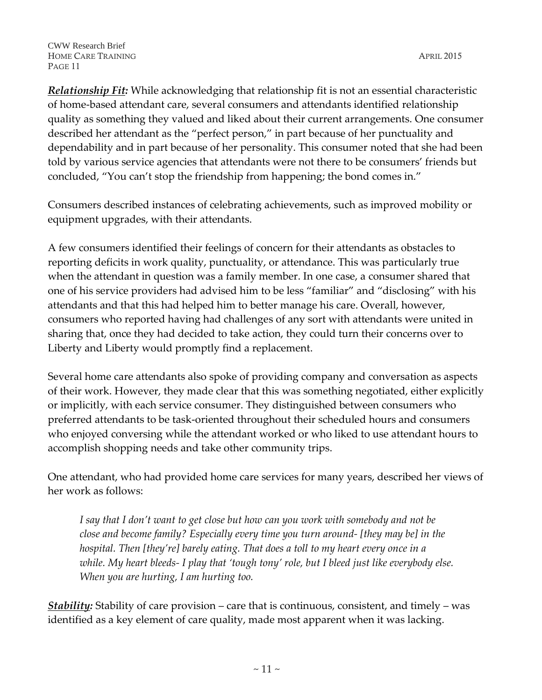*Relationship Fit:* While acknowledging that relationship fit is not an essential characteristic of home-based attendant care, several consumers and attendants identified relationship quality as something they valued and liked about their current arrangements. One consumer described her attendant as the "perfect person," in part because of her punctuality and dependability and in part because of her personality. This consumer noted that she had been told by various service agencies that attendants were not there to be consumers' friends but concluded, "You can't stop the friendship from happening; the bond comes in."

Consumers described instances of celebrating achievements, such as improved mobility or equipment upgrades, with their attendants.

A few consumers identified their feelings of concern for their attendants as obstacles to reporting deficits in work quality, punctuality, or attendance. This was particularly true when the attendant in question was a family member. In one case, a consumer shared that one of his service providers had advised him to be less "familiar" and "disclosing" with his attendants and that this had helped him to better manage his care. Overall, however, consumers who reported having had challenges of any sort with attendants were united in sharing that, once they had decided to take action, they could turn their concerns over to Liberty and Liberty would promptly find a replacement.

Several home care attendants also spoke of providing company and conversation as aspects of their work. However, they made clear that this was something negotiated, either explicitly or implicitly, with each service consumer. They distinguished between consumers who preferred attendants to be task-oriented throughout their scheduled hours and consumers who enjoyed conversing while the attendant worked or who liked to use attendant hours to accomplish shopping needs and take other community trips.

One attendant, who had provided home care services for many years, described her views of her work as follows:

*I say that I don't want to get close but how can you work with somebody and not be close and become family? Especially every time you turn around- [they may be] in the hospital. Then [they're] barely eating. That does a toll to my heart every once in a while. My heart bleeds- I play that 'tough tony' role, but I bleed just like everybody else. When you are hurting, I am hurting too.*

*Stability:* Stability of care provision – care that is continuous, consistent, and timely – was identified as a key element of care quality, made most apparent when it was lacking.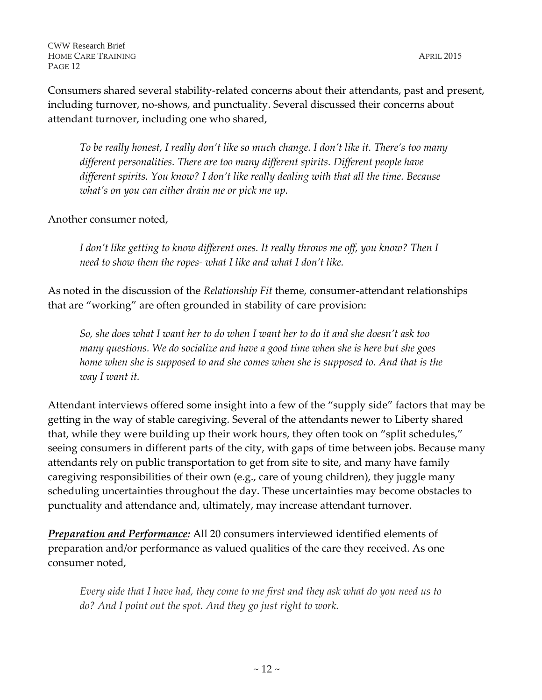*To be really honest, I really don't like so much change. I don't like it. There's too many different personalities. There are too many different spirits. Different people have different spirits. You know? I don't like really dealing with that all the time. Because what's on you can either drain me or pick me up.* 

Another consumer noted,

*I don't like getting to know different ones. It really throws me off, you know? Then I need to show them the ropes- what I like and what I don't like.*

As noted in the discussion of the *Relationship Fit* theme, consumer-attendant relationships that are "working" are often grounded in stability of care provision:

*So, she does what I want her to do when I want her to do it and she doesn't ask too many questions. We do socialize and have a good time when she is here but she goes home when she is supposed to and she comes when she is supposed to. And that is the way I want it.* 

Attendant interviews offered some insight into a few of the "supply side" factors that may be getting in the way of stable caregiving. Several of the attendants newer to Liberty shared that, while they were building up their work hours, they often took on "split schedules," seeing consumers in different parts of the city, with gaps of time between jobs. Because many attendants rely on public transportation to get from site to site, and many have family caregiving responsibilities of their own (e.g., care of young children), they juggle many scheduling uncertainties throughout the day. These uncertainties may become obstacles to punctuality and attendance and, ultimately, may increase attendant turnover.

*Preparation and Performance:* All 20 consumers interviewed identified elements of preparation and/or performance as valued qualities of the care they received. As one consumer noted,

*Every aide that I have had, they come to me first and they ask what do you need us to do? And I point out the spot. And they go just right to work.*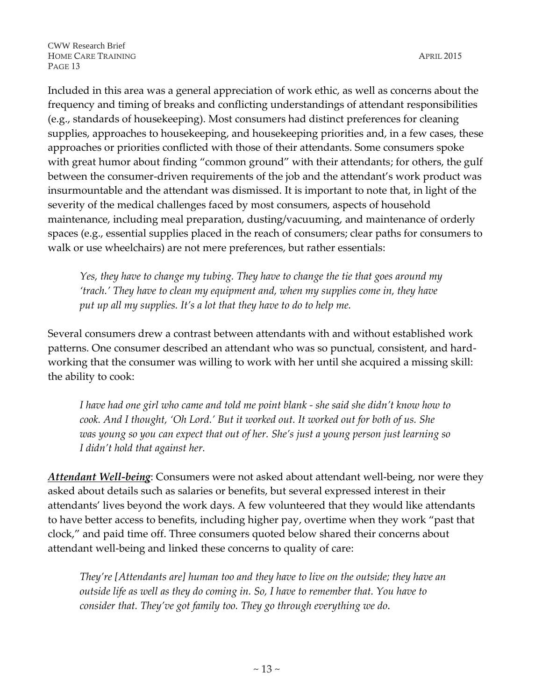Included in this area was a general appreciation of work ethic, as well as concerns about the frequency and timing of breaks and conflicting understandings of attendant responsibilities (e.g., standards of housekeeping). Most consumers had distinct preferences for cleaning supplies, approaches to housekeeping, and housekeeping priorities and, in a few cases, these approaches or priorities conflicted with those of their attendants. Some consumers spoke with great humor about finding "common ground" with their attendants; for others, the gulf between the consumer-driven requirements of the job and the attendant's work product was insurmountable and the attendant was dismissed. It is important to note that, in light of the severity of the medical challenges faced by most consumers, aspects of household maintenance, including meal preparation, dusting/vacuuming, and maintenance of orderly spaces (e.g., essential supplies placed in the reach of consumers; clear paths for consumers to walk or use wheelchairs) are not mere preferences, but rather essentials:

*Yes, they have to change my tubing. They have to change the tie that goes around my 'trach.' They have to clean my equipment and, when my supplies come in, they have put up all my supplies. It's a lot that they have to do to help me.*

Several consumers drew a contrast between attendants with and without established work patterns. One consumer described an attendant who was so punctual, consistent, and hardworking that the consumer was willing to work with her until she acquired a missing skill: the ability to cook:

*I have had one girl who came and told me point blank - she said she didn't know how to cook. And I thought, 'Oh Lord.' But it worked out. It worked out for both of us. She was young so you can expect that out of her. She's just a young person just learning so I didn't hold that against her.*

*Attendant Well-being*: Consumers were not asked about attendant well-being, nor were they asked about details such as salaries or benefits, but several expressed interest in their attendants' lives beyond the work days. A few volunteered that they would like attendants to have better access to benefits, including higher pay, overtime when they work "past that clock," and paid time off. Three consumers quoted below shared their concerns about attendant well-being and linked these concerns to quality of care:

*They're [Attendants are] human too and they have to live on the outside; they have an outside life as well as they do coming in. So, I have to remember that. You have to consider that. They've got family too. They go through everything we do*.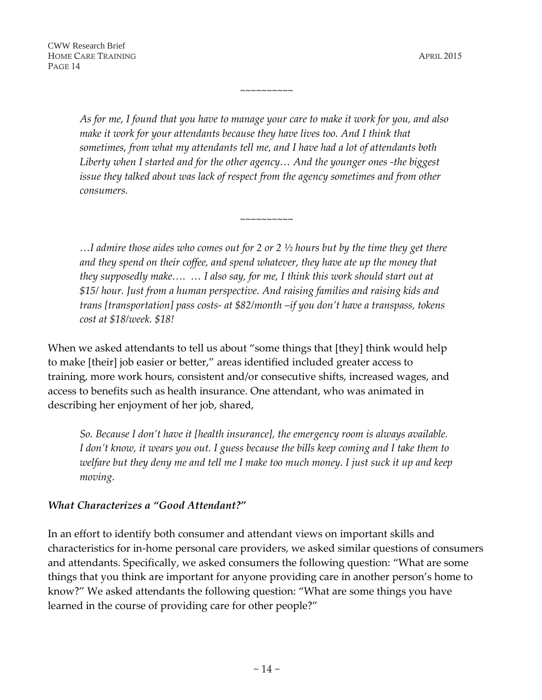*As for me, I found that you have to manage your care to make it work for you, and also*  make it work for your attendants because they have lives too. And I think that *sometimes, from what my attendants tell me, and I have had a lot of attendants both*  Liberty when I started and for the other agency... And the younger ones -the biggest *issue they talked about was lack of respect from the agency sometimes and from other consumers.* 

 $\sim$ ~~~~~~~~

~~~~~~~~~~

*…I admire those aides who comes out for 2 or 2 ½ hours but by the time they get there and they spend on their coffee, and spend whatever, they have ate up the money that they supposedly make…. … I also say, for me, I think this work should start out at \$15/ hour. Just from a human perspective. And raising families and raising kids and trans [transportation] pass costs- at \$82/month –if you don't have a transpass, tokens cost at \$18/week. \$18!*

When we asked attendants to tell us about "some things that [they] think would help to make [their] job easier or better," areas identified included greater access to training, more work hours, consistent and/or consecutive shifts, increased wages, and access to benefits such as health insurance. One attendant, who was animated in describing her enjoyment of her job, shared,

*So. Because I don't have it [health insurance], the emergency room is always available. I don't know, it wears you out. I guess because the bills keep coming and I take them to welfare but they deny me and tell me I make too much money. I just suck it up and keep moving.*

#### *What Characterizes a "Good Attendant?"*

In an effort to identify both consumer and attendant views on important skills and characteristics for in-home personal care providers, we asked similar questions of consumers and attendants. Specifically, we asked consumers the following question: "What are some things that you think are important for anyone providing care in another person's home to know?" We asked attendants the following question: "What are some things you have learned in the course of providing care for other people?"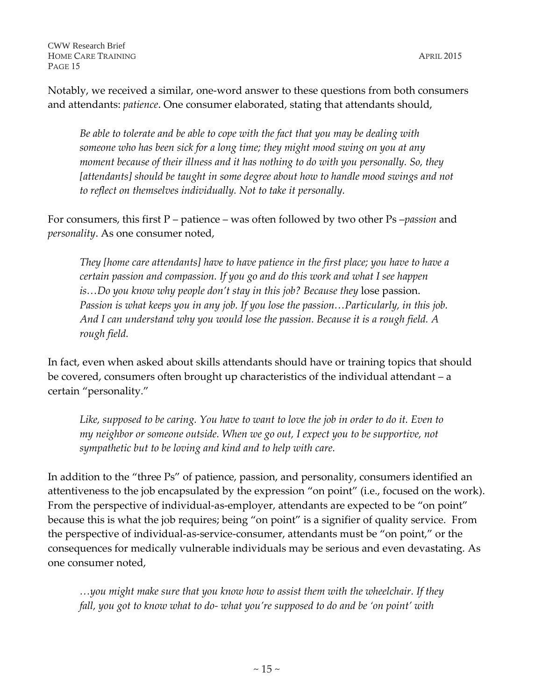Notably, we received a similar, one-word answer to these questions from both consumers and attendants: *patience*. One consumer elaborated, stating that attendants should,

*Be able to tolerate and be able to cope with the fact that you may be dealing with someone who has been sick for a long time; they might mood swing on you at any moment because of their illness and it has nothing to do with you personally. So, they [attendants] should be taught in some degree about how to handle mood swings and not to reflect on themselves individually. Not to take it personally.*

For consumers, this first P – patience – was often followed by two other Ps –*passion* and *personality*. As one consumer noted,

*They [home care attendants] have to have patience in the first place; you have to have a certain passion and compassion. If you go and do this work and what I see happen is…Do you know why people don't stay in this job? Because they* lose passion. *Passion is what keeps you in any job. If you lose the passion…Particularly, in this job. And I can understand why you would lose the passion. Because it is a rough field. A rough field.* 

In fact, even when asked about skills attendants should have or training topics that should be covered, consumers often brought up characteristics of the individual attendant – a certain "personality."

*Like, supposed to be caring. You have to want to love the job in order to do it. Even to my neighbor or someone outside. When we go out, I expect you to be supportive, not sympathetic but to be loving and kind and to help with care.*

In addition to the "three Ps" of patience, passion, and personality, consumers identified an attentiveness to the job encapsulated by the expression "on point" (i.e., focused on the work). From the perspective of individual-as-employer, attendants are expected to be "on point" because this is what the job requires; being "on point" is a signifier of quality service. From the perspective of individual-as-service-consumer, attendants must be "on point," or the consequences for medically vulnerable individuals may be serious and even devastating. As one consumer noted,

*…you might make sure that you know how to assist them with the wheelchair. If they fall, you got to know what to do- what you're supposed to do and be 'on point' with*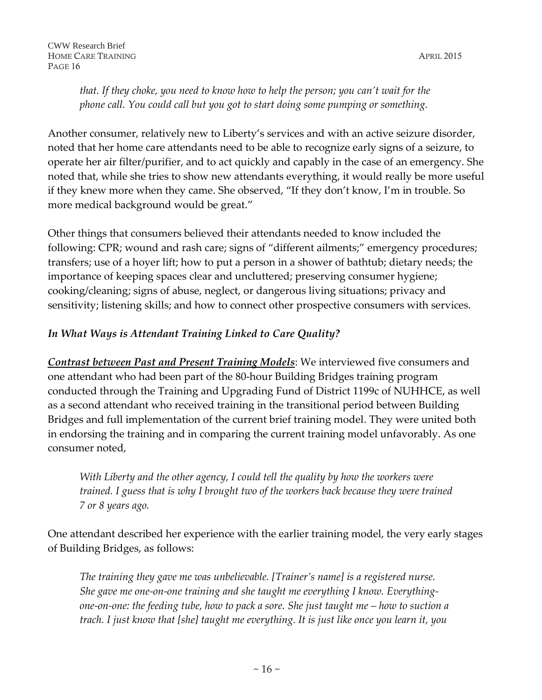*that. If they choke, you need to know how to help the person; you can't wait for the phone call. You could call but you got to start doing some pumping or something.*

Another consumer, relatively new to Liberty's services and with an active seizure disorder, noted that her home care attendants need to be able to recognize early signs of a seizure, to operate her air filter/purifier, and to act quickly and capably in the case of an emergency. She noted that, while she tries to show new attendants everything, it would really be more useful if they knew more when they came. She observed, "If they don't know, I'm in trouble. So more medical background would be great."

Other things that consumers believed their attendants needed to know included the following: CPR; wound and rash care; signs of "different ailments;" emergency procedures; transfers; use of a hoyer lift; how to put a person in a shower of bathtub; dietary needs; the importance of keeping spaces clear and uncluttered; preserving consumer hygiene; cooking/cleaning; signs of abuse, neglect, or dangerous living situations; privacy and sensitivity; listening skills; and how to connect other prospective consumers with services.

#### *In What Ways is Attendant Training Linked to Care Quality?*

*Contrast between Past and Present Training Models*: We interviewed five consumers and one attendant who had been part of the 80-hour Building Bridges training program conducted through the Training and Upgrading Fund of District 1199c of NUHHCE, as well as a second attendant who received training in the transitional period between Building Bridges and full implementation of the current brief training model. They were united both in endorsing the training and in comparing the current training model unfavorably. As one consumer noted,

*With Liberty and the other agency, I could tell the quality by how the workers were trained. I guess that is why I brought two of the workers back because they were trained 7 or 8 years ago.* 

One attendant described her experience with the earlier training model, the very early stages of Building Bridges, as follows:

*The training they gave me was unbelievable. [Trainer's name] is a registered nurse. She gave me one-on-one training and she taught me everything I know. Everythingone-on-one: the feeding tube, how to pack a sore. She just taught me – how to suction a trach. I just know that [she] taught me everything. It is just like once you learn it, you*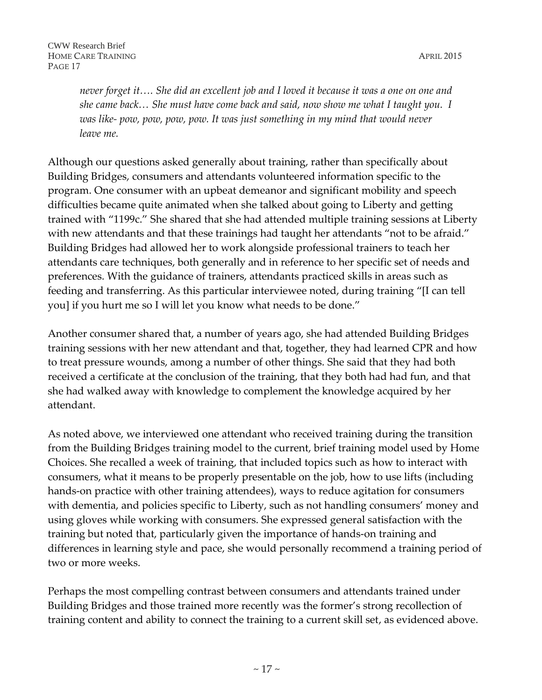*never forget it…. She did an excellent job and I loved it because it was a one on one and she came back… She must have come back and said, now show me what I taught you. I was like- pow, pow, pow, pow. It was just something in my mind that would never leave me.*

Although our questions asked generally about training, rather than specifically about Building Bridges, consumers and attendants volunteered information specific to the program. One consumer with an upbeat demeanor and significant mobility and speech difficulties became quite animated when she talked about going to Liberty and getting trained with "1199c." She shared that she had attended multiple training sessions at Liberty with new attendants and that these trainings had taught her attendants "not to be afraid." Building Bridges had allowed her to work alongside professional trainers to teach her attendants care techniques, both generally and in reference to her specific set of needs and preferences. With the guidance of trainers, attendants practiced skills in areas such as feeding and transferring. As this particular interviewee noted, during training "[I can tell you] if you hurt me so I will let you know what needs to be done."

Another consumer shared that, a number of years ago, she had attended Building Bridges training sessions with her new attendant and that, together, they had learned CPR and how to treat pressure wounds, among a number of other things. She said that they had both received a certificate at the conclusion of the training, that they both had had fun, and that she had walked away with knowledge to complement the knowledge acquired by her attendant.

As noted above, we interviewed one attendant who received training during the transition from the Building Bridges training model to the current, brief training model used by Home Choices. She recalled a week of training, that included topics such as how to interact with consumers, what it means to be properly presentable on the job, how to use lifts (including hands-on practice with other training attendees), ways to reduce agitation for consumers with dementia, and policies specific to Liberty, such as not handling consumers' money and using gloves while working with consumers. She expressed general satisfaction with the training but noted that, particularly given the importance of hands-on training and differences in learning style and pace, she would personally recommend a training period of two or more weeks.

Perhaps the most compelling contrast between consumers and attendants trained under Building Bridges and those trained more recently was the former's strong recollection of training content and ability to connect the training to a current skill set, as evidenced above.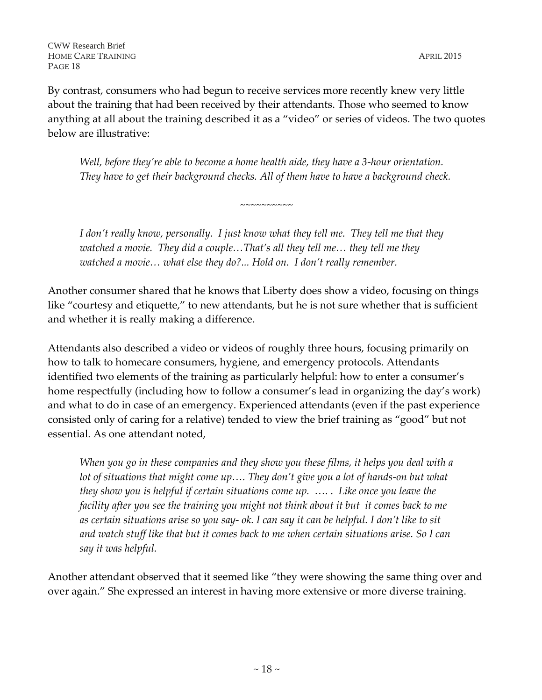By contrast, consumers who had begun to receive services more recently knew very little about the training that had been received by their attendants. Those who seemed to know anything at all about the training described it as a "video" or series of videos. The two quotes below are illustrative:

*Well, before they're able to become a home health aide, they have a 3-hour orientation. They have to get their background checks. All of them have to have a background check.*

 $\sim$ ~~~~~~~~

*I don't really know, personally. I just know what they tell me. They tell me that they watched a movie. They did a couple…That's all they tell me… they tell me they watched a movie… what else they do?... Hold on. I don't really remember.*

Another consumer shared that he knows that Liberty does show a video, focusing on things like "courtesy and etiquette," to new attendants, but he is not sure whether that is sufficient and whether it is really making a difference.

Attendants also described a video or videos of roughly three hours, focusing primarily on how to talk to homecare consumers, hygiene, and emergency protocols. Attendants identified two elements of the training as particularly helpful: how to enter a consumer's home respectfully (including how to follow a consumer's lead in organizing the day's work) and what to do in case of an emergency. Experienced attendants (even if the past experience consisted only of caring for a relative) tended to view the brief training as "good" but not essential. As one attendant noted,

*When you go in these companies and they show you these films, it helps you deal with a lot of situations that might come up…. They don't give you a lot of hands-on but what they show you is helpful if certain situations come up. …. . Like once you leave the facility after you see the training you might not think about it but it comes back to me as certain situations arise so you say- ok. I can say it can be helpful. I don't like to sit and watch stuff like that but it comes back to me when certain situations arise. So I can say it was helpful.*

Another attendant observed that it seemed like "they were showing the same thing over and over again." She expressed an interest in having more extensive or more diverse training.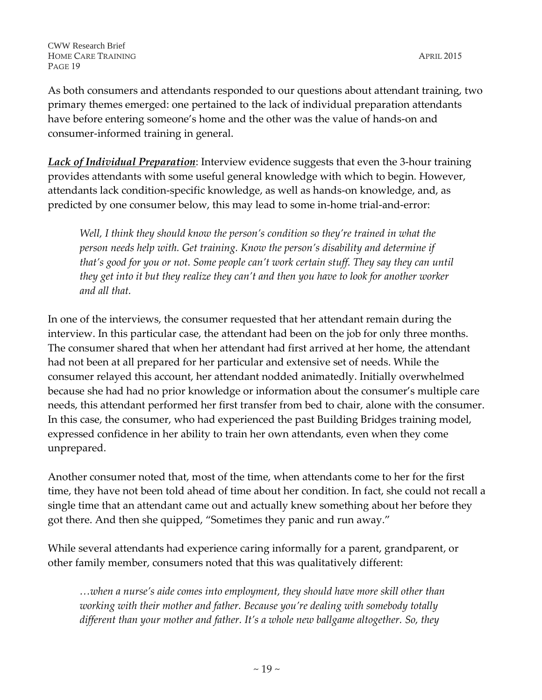As both consumers and attendants responded to our questions about attendant training, two primary themes emerged: one pertained to the lack of individual preparation attendants have before entering someone's home and the other was the value of hands-on and consumer-informed training in general.

*Lack of Individual Preparation*: Interview evidence suggests that even the 3-hour training provides attendants with some useful general knowledge with which to begin. However, attendants lack condition-specific knowledge, as well as hands-on knowledge, and, as predicted by one consumer below, this may lead to some in-home trial-and-error:

*Well, I think they should know the person's condition so they're trained in what the person needs help with. Get training. Know the person's disability and determine if that's good for you or not. Some people can't work certain stuff. They say they can until they get into it but they realize they can't and then you have to look for another worker and all that.* 

In one of the interviews, the consumer requested that her attendant remain during the interview. In this particular case, the attendant had been on the job for only three months. The consumer shared that when her attendant had first arrived at her home, the attendant had not been at all prepared for her particular and extensive set of needs. While the consumer relayed this account, her attendant nodded animatedly. Initially overwhelmed because she had had no prior knowledge or information about the consumer's multiple care needs, this attendant performed her first transfer from bed to chair, alone with the consumer. In this case, the consumer, who had experienced the past Building Bridges training model, expressed confidence in her ability to train her own attendants, even when they come unprepared.

Another consumer noted that, most of the time, when attendants come to her for the first time, they have not been told ahead of time about her condition. In fact, she could not recall a single time that an attendant came out and actually knew something about her before they got there. And then she quipped, "Sometimes they panic and run away."

While several attendants had experience caring informally for a parent, grandparent, or other family member, consumers noted that this was qualitatively different:

*…when a nurse's aide comes into employment, they should have more skill other than working with their mother and father. Because you're dealing with somebody totally different than your mother and father. It's a whole new ballgame altogether. So, they*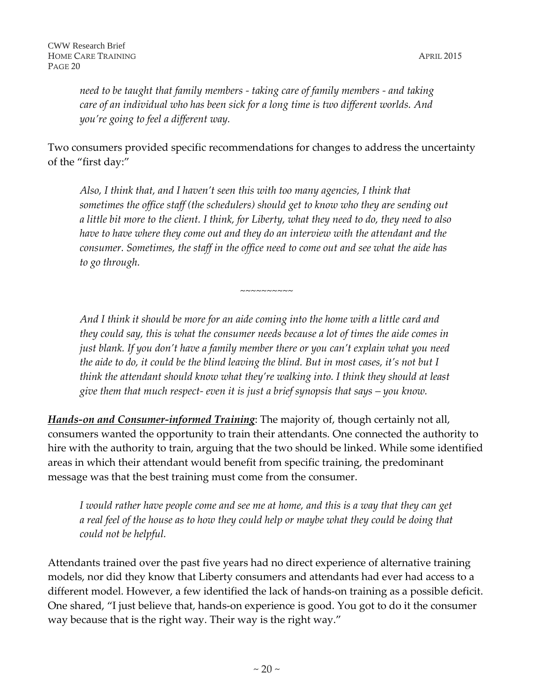*need to be taught that family members - taking care of family members - and taking care of an individual who has been sick for a long time is two different worlds. And you're going to feel a different way.* 

Two consumers provided specific recommendations for changes to address the uncertainty of the "first day:"

*Also, I think that, and I haven't seen this with too many agencies, I think that sometimes the office staff (the schedulers) should get to know who they are sending out a little bit more to the client. I think, for Liberty, what they need to do, they need to also have to have where they come out and they do an interview with the attendant and the consumer. Sometimes, the staff in the office need to come out and see what the aide has to go through.* 

*~~~~~~~~~~*

*And I think it should be more for an aide coming into the home with a little card and they could say, this is what the consumer needs because a lot of times the aide comes in just blank. If you don't have a family member there or you can't explain what you need the aide to do, it could be the blind leaving the blind. But in most cases, it's not but I think the attendant should know what they're walking into. I think they should at least give them that much respect- even it is just a brief synopsis that says – you know.*

*Hands-on and Consumer-informed Training*: The majority of, though certainly not all, consumers wanted the opportunity to train their attendants. One connected the authority to hire with the authority to train, arguing that the two should be linked. While some identified areas in which their attendant would benefit from specific training, the predominant message was that the best training must come from the consumer.

*I would rather have people come and see me at home, and this is a way that they can get a real feel of the house as to how they could help or maybe what they could be doing that could not be helpful.* 

Attendants trained over the past five years had no direct experience of alternative training models, nor did they know that Liberty consumers and attendants had ever had access to a different model. However, a few identified the lack of hands-on training as a possible deficit. One shared, "I just believe that, hands-on experience is good. You got to do it the consumer way because that is the right way. Their way is the right way."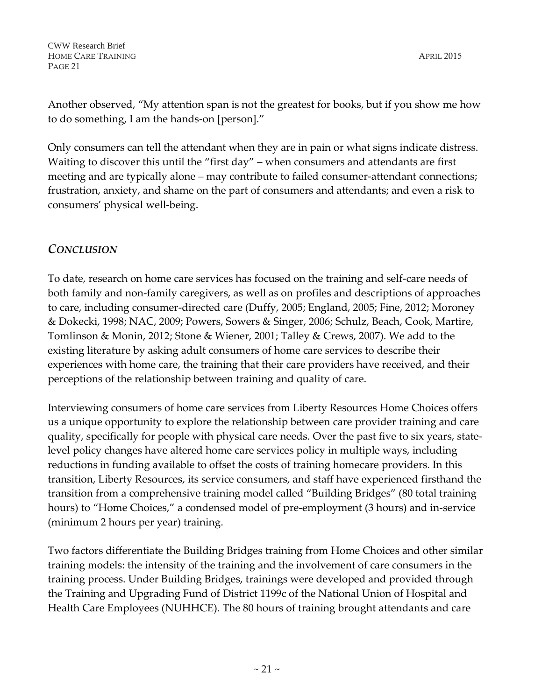Another observed, "My attention span is not the greatest for books, but if you show me how to do something, I am the hands-on [person]."

Only consumers can tell the attendant when they are in pain or what signs indicate distress. Waiting to discover this until the "first day" – when consumers and attendants are first meeting and are typically alone – may contribute to failed consumer-attendant connections; frustration, anxiety, and shame on the part of consumers and attendants; and even a risk to consumers' physical well-being.

## *CONCLUSION*

To date, research on home care services has focused on the training and self-care needs of both family and non-family caregivers, as well as on profiles and descriptions of approaches to care, including consumer-directed care (Duffy, 2005; England, 2005; Fine, 2012; Moroney & Dokecki, 1998; NAC, 2009; Powers, Sowers & Singer, 2006; Schulz, Beach, Cook, Martire, Tomlinson & Monin, 2012; Stone & Wiener, 2001; Talley & Crews, 2007). We add to the existing literature by asking adult consumers of home care services to describe their experiences with home care, the training that their care providers have received, and their perceptions of the relationship between training and quality of care.

Interviewing consumers of home care services from Liberty Resources Home Choices offers us a unique opportunity to explore the relationship between care provider training and care quality, specifically for people with physical care needs. Over the past five to six years, statelevel policy changes have altered home care services policy in multiple ways, including reductions in funding available to offset the costs of training homecare providers. In this transition, Liberty Resources, its service consumers, and staff have experienced firsthand the transition from a comprehensive training model called "Building Bridges" (80 total training hours) to "Home Choices," a condensed model of pre-employment (3 hours) and in-service (minimum 2 hours per year) training.

Two factors differentiate the Building Bridges training from Home Choices and other similar training models: the intensity of the training and the involvement of care consumers in the training process. Under Building Bridges, trainings were developed and provided through the Training and Upgrading Fund of District 1199c of the National Union of Hospital and Health Care Employees (NUHHCE). The 80 hours of training brought attendants and care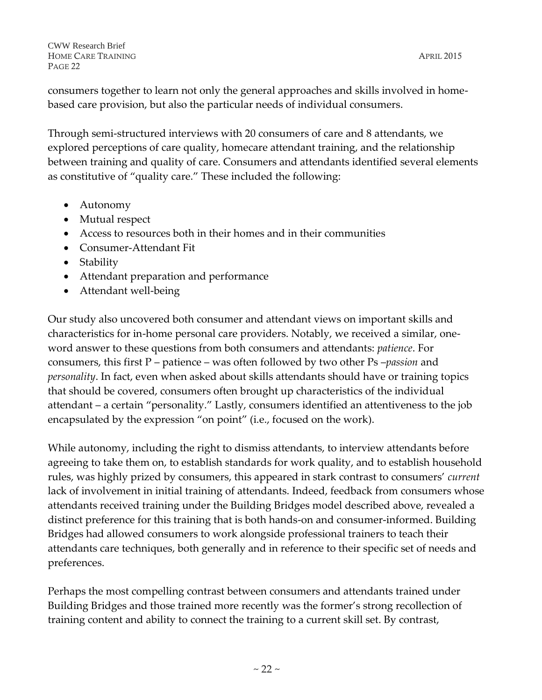consumers together to learn not only the general approaches and skills involved in homebased care provision, but also the particular needs of individual consumers.

Through semi-structured interviews with 20 consumers of care and 8 attendants, we explored perceptions of care quality, homecare attendant training, and the relationship between training and quality of care. Consumers and attendants identified several elements as constitutive of "quality care." These included the following:

- Autonomy
- Mutual respect
- Access to resources both in their homes and in their communities
- Consumer-Attendant Fit
- Stability
- Attendant preparation and performance
- Attendant well-being

Our study also uncovered both consumer and attendant views on important skills and characteristics for in-home personal care providers. Notably, we received a similar, oneword answer to these questions from both consumers and attendants: *patience*. For consumers, this first P – patience – was often followed by two other Ps –*passion* and *personality*. In fact, even when asked about skills attendants should have or training topics that should be covered, consumers often brought up characteristics of the individual attendant – a certain "personality." Lastly, consumers identified an attentiveness to the job encapsulated by the expression "on point" (i.e., focused on the work).

While autonomy, including the right to dismiss attendants, to interview attendants before agreeing to take them on, to establish standards for work quality, and to establish household rules, was highly prized by consumers, this appeared in stark contrast to consumers' *current* lack of involvement in initial training of attendants. Indeed, feedback from consumers whose attendants received training under the Building Bridges model described above, revealed a distinct preference for this training that is both hands-on and consumer-informed. Building Bridges had allowed consumers to work alongside professional trainers to teach their attendants care techniques, both generally and in reference to their specific set of needs and preferences.

Perhaps the most compelling contrast between consumers and attendants trained under Building Bridges and those trained more recently was the former's strong recollection of training content and ability to connect the training to a current skill set. By contrast,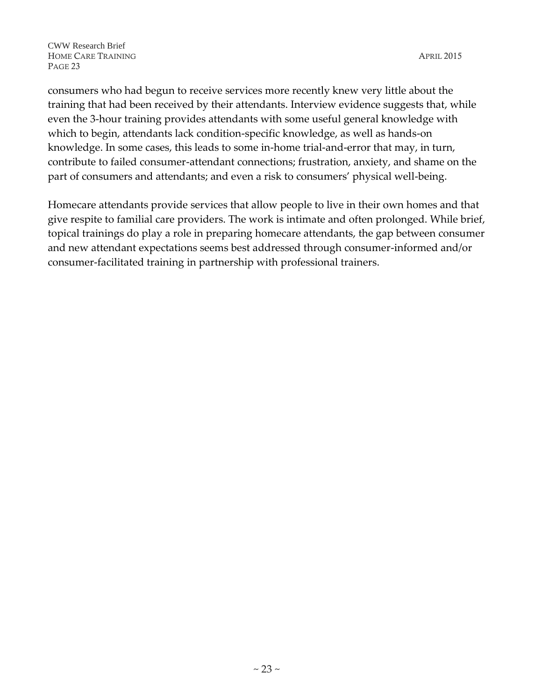consumers who had begun to receive services more recently knew very little about the training that had been received by their attendants. Interview evidence suggests that, while even the 3-hour training provides attendants with some useful general knowledge with which to begin, attendants lack condition-specific knowledge, as well as hands-on knowledge. In some cases, this leads to some in-home trial-and-error that may, in turn, contribute to failed consumer-attendant connections; frustration, anxiety, and shame on the part of consumers and attendants; and even a risk to consumers' physical well-being.

Homecare attendants provide services that allow people to live in their own homes and that give respite to familial care providers. The work is intimate and often prolonged. While brief, topical trainings do play a role in preparing homecare attendants, the gap between consumer and new attendant expectations seems best addressed through consumer-informed and/or consumer-facilitated training in partnership with professional trainers.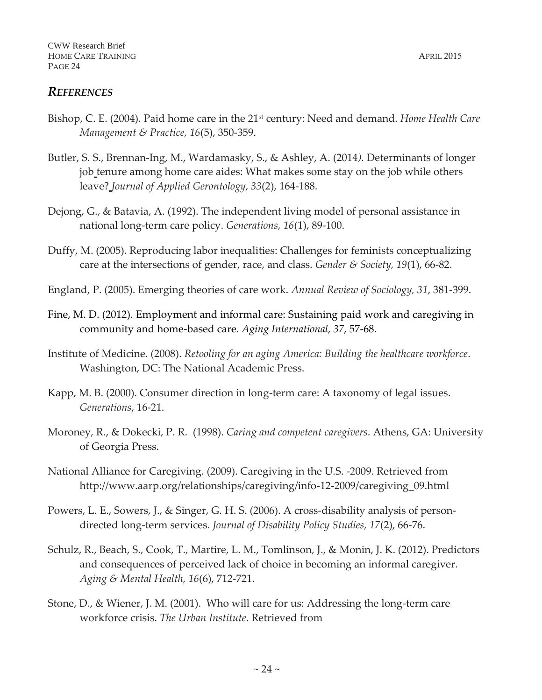#### *REFERENCES*

- Bishop, C. E. (2004). Paid home care in the 21st century: Need and demand. *Home Health Care Management & Practice, 16*(5), 350-359.
- Butler, S. S., Brennan-Ing, M., Wardamasky, S., & Ashley, A. (2014*).* Determinants of longer job tenure among home care aides: What makes some stay on the job while others leave? *Journal of Applied Gerontology, 33*(2), 164-188.
- Dejong, G., & Batavia, A. (1992). The independent living model of personal assistance in national long-term care policy. *Generations, 16*(1), 89-100.
- Duffy, M. (2005). Reproducing labor inequalities: Challenges for feminists conceptualizing care at the intersections of gender, race, and class. *Gender & Society, 19*(1), 66-82.
- England, P. (2005). Emerging theories of care work. *Annual Review of Sociology, 31*, 381-399.
- Fine, M. D. (2012). Employment and informal care: Sustaining paid work and caregiving in community and home-based care. *Aging International, 37*, 57-68.
- Institute of Medicine. (2008). *Retooling for an aging America: Building the healthcare workforce*. Washington, DC: The National Academic Press.
- Kapp, M. B. (2000). Consumer direction in long-term care: A taxonomy of legal issues. *Generations*, 16-21.
- Moroney, R., & Dokecki, P. R. (1998). *Caring and competent caregivers*. Athens, GA: University of Georgia Press.
- National Alliance for Caregiving. (2009). Caregiving in the U.S. -2009. Retrieved from http://www.aarp.org/relationships/caregiving/info-12-2009/caregiving\_09.html
- Powers, L. E., Sowers, J., & Singer, G. H. S. (2006). A cross-disability analysis of persondirected long-term services. *Journal of Disability Policy Studies, 17*(2), 66-76.
- Schulz, R., Beach, S., Cook, T., Martire, L. M., Tomlinson, J., & Monin, J. K. (2012). Predictors and consequences of perceived lack of choice in becoming an informal caregiver*. Aging & Mental Health, 16*(6), 712-721.
- Stone, D., & Wiener, J. M. (2001). Who will care for us: Addressing the long-term care workforce crisis. *The Urban Institute*. Retrieved from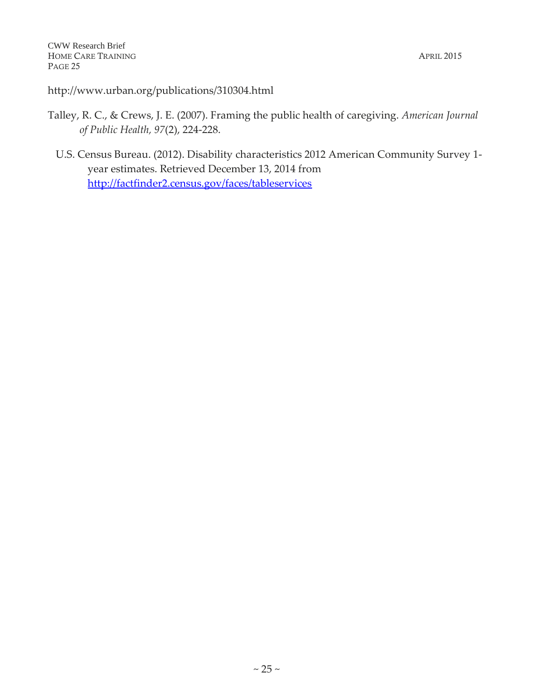http://www.urban.org/publications/310304.html

- Talley, R. C., & Crews, J. E. (2007). Framing the public health of caregiving. *American Journal of Public Health, 97*(2), 224-228.
	- U.S. Census Bureau. (2012). Disability characteristics 2012 American Community Survey 1 year estimates. Retrieved December 13, 2014 from <http://factfinder2.census.gov/faces/tableservices>